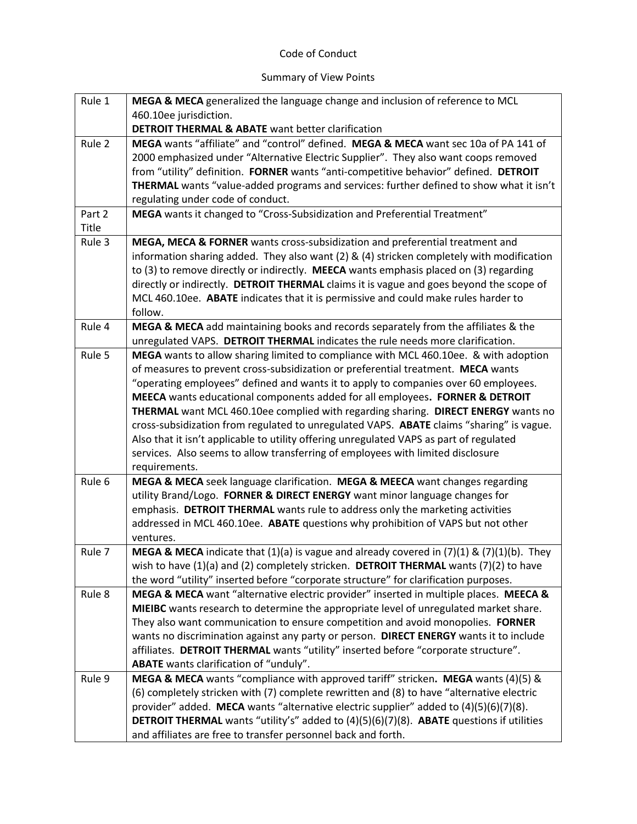## Code of Conduct

## Summary of View Points

| Rule 1 | MEGA & MECA generalized the language change and inclusion of reference to MCL                               |
|--------|-------------------------------------------------------------------------------------------------------------|
|        | 460.10ee jurisdiction.                                                                                      |
|        | <b>DETROIT THERMAL &amp; ABATE</b> want better clarification                                                |
| Rule 2 | MEGA wants "affiliate" and "control" defined. MEGA & MECA want sec 10a of PA 141 of                         |
|        | 2000 emphasized under "Alternative Electric Supplier". They also want coops removed                         |
|        | from "utility" definition. FORNER wants "anti-competitive behavior" defined. DETROIT                        |
|        | THERMAL wants "value-added programs and services: further defined to show what it isn't                     |
|        | regulating under code of conduct.                                                                           |
| Part 2 | MEGA wants it changed to "Cross-Subsidization and Preferential Treatment"                                   |
| Title  |                                                                                                             |
| Rule 3 | MEGA, MECA & FORNER wants cross-subsidization and preferential treatment and                                |
|        | information sharing added. They also want (2) & (4) stricken completely with modification                   |
|        | to (3) to remove directly or indirectly. MEECA wants emphasis placed on (3) regarding                       |
|        | directly or indirectly. DETROIT THERMAL claims it is vague and goes beyond the scope of                     |
|        | MCL 460.10ee. ABATE indicates that it is permissive and could make rules harder to                          |
|        | follow.                                                                                                     |
| Rule 4 | MEGA & MECA add maintaining books and records separately from the affiliates & the                          |
|        | unregulated VAPS. DETROIT THERMAL indicates the rule needs more clarification.                              |
| Rule 5 | MEGA wants to allow sharing limited to compliance with MCL 460.10ee. & with adoption                        |
|        | of measures to prevent cross-subsidization or preferential treatment. MECA wants                            |
|        | "operating employees" defined and wants it to apply to companies over 60 employees.                         |
|        | MEECA wants educational components added for all employees. FORNER & DETROIT                                |
|        | THERMAL want MCL 460.10ee complied with regarding sharing. DIRECT ENERGY wants no                           |
|        | cross-subsidization from regulated to unregulated VAPS. ABATE claims "sharing" is vague.                    |
|        | Also that it isn't applicable to utility offering unregulated VAPS as part of regulated                     |
|        | services. Also seems to allow transferring of employees with limited disclosure                             |
|        | requirements.                                                                                               |
| Rule 6 | MEGA & MECA seek language clarification. MEGA & MEECA want changes regarding                                |
|        | utility Brand/Logo. FORNER & DIRECT ENERGY want minor language changes for                                  |
|        | emphasis. DETROIT THERMAL wants rule to address only the marketing activities                               |
|        | addressed in MCL 460.10ee. ABATE questions why prohibition of VAPS but not other                            |
|        | ventures.                                                                                                   |
| Rule 7 | <b>MEGA &amp; MECA</b> indicate that $(1)(a)$ is vague and already covered in $(7)(1)$ & $(7)(1)(b)$ . They |
|        | wish to have $(1)(a)$ and $(2)$ completely stricken. DETROIT THERMAL wants $(7)(2)$ to have                 |
|        | the word "utility" inserted before "corporate structure" for clarification purposes.                        |
| Rule 8 | MEGA & MECA want "alternative electric provider" inserted in multiple places. MEECA &                       |
|        | MIEIBC wants research to determine the appropriate level of unregulated market share.                       |
|        | They also want communication to ensure competition and avoid monopolies. FORNER                             |
|        | wants no discrimination against any party or person. DIRECT ENERGY wants it to include                      |
|        | affiliates. DETROIT THERMAL wants "utility" inserted before "corporate structure".                          |
|        | ABATE wants clarification of "unduly".                                                                      |
| Rule 9 | MEGA & MECA wants "compliance with approved tariff" stricken. MEGA wants (4)(5) &                           |
|        |                                                                                                             |
|        | (6) completely stricken with (7) complete rewritten and (8) to have "alternative electric                   |
|        | provider" added. MECA wants "alternative electric supplier" added to (4)(5)(6)(7)(8).                       |
|        | DETROIT THERMAL wants "utility's" added to (4)(5)(6)(7)(8). ABATE questions if utilities                    |
|        | and affiliates are free to transfer personnel back and forth.                                               |